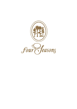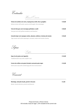

Hors d'Oeuvre

| Tártaro de salmão com ostra, maçã granny smith, lima e gengibre          | € 19,00 |
|--------------------------------------------------------------------------|---------|
| Salmon tartar with oyster, granny smith apple, lime and ginger           |         |
| Tarte de foie gras com morangos grelhados e avelã                        | € 20,00 |
| Foie gras tart with grilled strawberry and hazelnut                      |         |
| Camarão tigre com espargos verdes, abacate, endívias e chutney de tomate | € 25,00 |
| Tiger prawn with white asparagus, avocado, endive and tomato chutney     |         |

Sopas

Soups

| Sopa rica de peixe com lagostim                         | € 12.00 |
|---------------------------------------------------------|---------|
| Traditional fish soup with crayfish crust               |         |
| Creme de ervilhas com gema fumada e presunto pata negra | € 12.00 |

*Green peas soup with smoked egg yolk and crunchy bacon*

Couvert

**Manteiga, selecção de pão, grissini e foccacia € 3,30**

*Butter, bread selection, grissini and focaccia*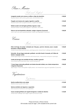Peixe e Marisco

Fish and Seafood

| Lavagante assado com cenoura, ervilhas e chips de alcachofra<br>Roasted lobster with carrots, green peas, and artichoke chips                       | € 40,00 |
|-----------------------------------------------------------------------------------------------------------------------------------------------------|---------|
| Pregado com texturas de curgete, lagostim e açafrão<br>Roasted turbot with courgette textures, crayfish and safran                                  | € 33,00 |
| Robalo assado com beringela grelhada, legumes e aipo<br>Roasted seabass with grilled eggplant, vegetables, and celery                               | € 33,00 |
| Peixe ao sal com batatinhas salteadas, acelgas e legumes (2 pessoas)<br>Fish in salt crust with sauteed potatoes, chard, and vegetables (2 persons) | € 66,00 |

Carne

Meat

| Peito de frango do campo recheado com foie gras, puré de cherovia, couve coração<br>braseada e cebolas bêbedas<br>Chicken breast filled with foie gras, pastinaga purée, braised heart cabbage and drunk onions | € 26,00 |
|-----------------------------------------------------------------------------------------------------------------------------------------------------------------------------------------------------------------|---------|
| Entrecôte rib eye Angus maturado grelhado com alho francês braseado, mil folhas de<br>batata e espargos verdes<br>Grilled aged Angus rib eye entrecôte with braised leek, crispy potato and green asparagus     | € 34,00 |
| Lombo de borrego com estufado de favas, morilles e gnocchi<br>Loin of lamb with broad bean stew, morels and gnocchi                                                                                             | € 34.00 |
| T- bone Angus maturado grelhado com batata dourada trufada, ovo a baixa temperatura<br>e legumes (2 pessoas)                                                                                                    | € 66,00 |

*Aged Angus T-bone with golden truffle potato, low temperature egg and vegetables (2 persons)*

Vegetariano

Vegetarian

**Quiche mediterrânica com salada € 15,00** *Mediterranean quiche with salad*

| Quinoa estufada com legumes e cogumelos                           | € 19.00 |
|-------------------------------------------------------------------|---------|
| Stew of quinoa mushrooms and vegetables                           |         |
| Couve coração grelhada com ragoût de legumes e salada de rebentos | € 19.00 |

*Grilled heart cabbage with veggie ragoût and sprouts salad*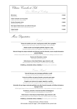| Clássica "Cozinha de Sala                                                                                  |         |
|------------------------------------------------------------------------------------------------------------|---------|
| Live Theater of Cooking                                                                                    |         |
| <b>Bife tártaro</b><br>Steak tartare                                                                       | € 35,00 |
| Crêpes recheados com três queijos<br>Crêpes with three-cheese filling                                      | € 18,00 |
| Gambas flamejadas Amira<br>Flamed shrimps "Amira"                                                          | € 38,00 |
| Filet mignon Palácio Estoril, com molho de foie gras<br>Filet mignon Palácio Estoril, with foie gras sauce | € 35,00 |
| <b>Crêpes Suzette</b><br>Crêpes Suzette                                                                    | € 10,00 |

Menu Dégustation

Estoril

**Tártaro de salmão com ostra, maçã granny smith, lima e gengibre**

*Salmon tartar with oyster, granny smith apple, lime and ginger*

**Robalo assado com beringela grelhada, legumes e aipo**

*Roasted seabass grilled with eggplant, vegetables and celery*

**Peito de frango do campo recheado com foie gras, puré de cherovia, couve coração braseada e cebolas bêbedas**

*Chicken breast filled with foie gras, pastinaga purée, braised heart cabbage and drunk onion*

**Texturas de Chocolate e menta** *Chocolate and mint textures*

**Vinho branco e tinto Hotel Palácio, água mineral e café**

*Red and White wine Hotel Palácio, mineral water and coffee*

**€ 60,00 p.p. (incluindo vinhos e bebidas /** *including wine and drinks)*



**Tarte de foie gras com morangos grelhados e avelã** *Foie gras tart with grilled strawberry and hazelnut*

**Creme de ervilhas com gema fumada e presunto pata negra** *Green peas soup with smoked egg yolk and crunchy ham*

**Pregado com texturas de curgete, lagostim e açafrão** *Roasted turbot with courgette textures, crayfish and safran*

**Entrecôte rib eye Angus maturado grelhado com alho francês braseado, mil folhas de batata e** 

**espargos verdes**

*Grilled aged Angus rib eye entrecôte with braised leek, crispy potato and green asparagus*

**Framboesa, pistachio e brulé de baunilha de Madagáscar** *Raspberry, pistachio and Madagascar vanilla brulé*

**Vinho branco e tinto Reserva Hotel Palácio, água mineral e café** *Red and white wine Hotel Palácio's Reserve, mineral water and coffee*

**€ 80,00 p.p. (incluindo vinhos e bebidas /** *including wine and drinks)*

Preços em Euros *| Prices in Euros* IVA incluído à taxa em vigor | *VAT included at the current rate*